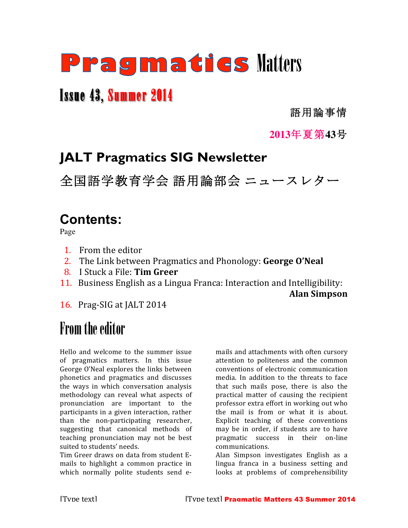# Pragmatics Matters

## Issue 43, Summer 2014

語用論事情

### **2013**年夏第**43**号

## **JALT Pragmatics SIG Newsletter**

全国語学教育学会 語用論部会 ニュースレター

## **Contents:**

Page

- 1. From the editor
- 2. The Link between Pragmatics and Phonology: **George O'Neal**
- 8. I Stuck a File: **Tim Greer**
- 11. Business English as a Lingua Franca: Interaction and Intelligibility:

**Alan Simpson**

16. Prag-SIG at JALT 2014

## From the editor

Hello and welcome to the summer issue of pragmatics matters. In this issue George O'Neal explores the links between phonetics and pragmatics and discusses the ways in which conversation analysis methodology can reveal what aspects of pronunciation are important to the participants in a given interaction, rather than the non-participating researcher, suggesting that canonical methods of teaching pronunciation may not be best suited to students' needs.

Tim Greer draws on data from student Emails to highlight a common practice in which normally polite students send emails and attachments with often cursory attention to politeness and the common conventions of electronic communication media. In addition to the threats to face that such mails pose, there is also the practical matter of causing the recipient professor extra effort in working out who the mail is from or what it is about. Explicit teaching of these conventions may be in order, if students are to have pragmatic success in their on-line communications. 

Alan Simpson investigates English as a lingua franca in a business setting and looks at problems of comprehensibility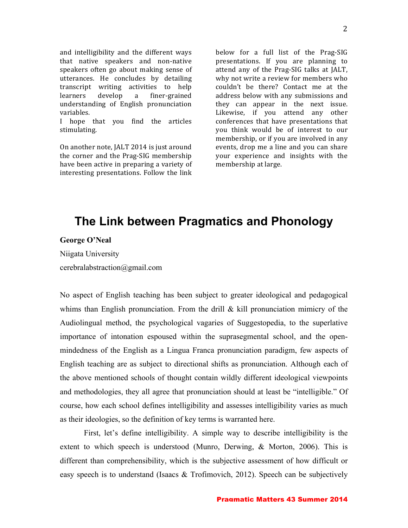and intelligibility and the different ways that native speakers and non-native speakers often go about making sense of utterances. He concludes by detailing transcript writing activities to help learners develop a finer-grained understanding of English pronunciation variables. 

I hope that you find the articles stimulating.

On another note, JALT 2014 is just around the corner and the Prag-SIG membership have been active in preparing a variety of interesting presentations. Follow the link

below for a full list of the Prag-SIG presentations. If you are planning to attend any of the Prag-SIG talks at JALT, why not write a review for members who couldn't be there? Contact me at the address below with any submissions and they can appear in the next issue. Likewise, if you attend any other conferences that have presentations that you think would be of interest to our membership, or if you are involved in any events, drop me a line and you can share your experience and insights with the membership at large.

### **The Link between Pragmatics and Phonology**

#### **George O'Neal**

Niigata University

cerebralabstraction@gmail.com

No aspect of English teaching has been subject to greater ideological and pedagogical whims than English pronunciation. From the drill  $\&$  kill pronunciation mimicry of the Audiolingual method, the psychological vagaries of Suggestopedia, to the superlative importance of intonation espoused within the suprasegmental school, and the openmindedness of the English as a Lingua Franca pronunciation paradigm, few aspects of English teaching are as subject to directional shifts as pronunciation. Although each of the above mentioned schools of thought contain wildly different ideological viewpoints and methodologies, they all agree that pronunciation should at least be "intelligible." Of course, how each school defines intelligibility and assesses intelligibility varies as much as their ideologies, so the definition of key terms is warranted here.

First, let's define intelligibility. A simple way to describe intelligibility is the extent to which speech is understood (Munro, Derwing, & Morton, 2006). This is different than comprehensibility, which is the subjective assessment of how difficult or easy speech is to understand (Isaacs & Trofimovich, 2012). Speech can be subjectively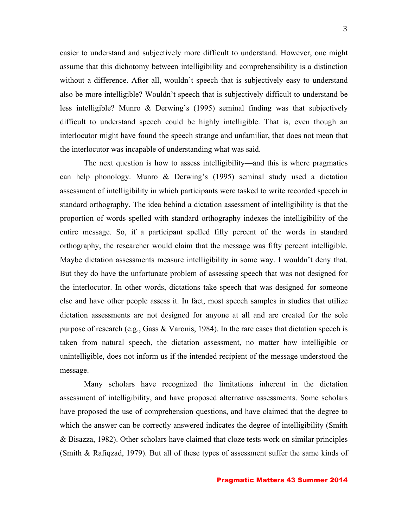easier to understand and subjectively more difficult to understand. However, one might assume that this dichotomy between intelligibility and comprehensibility is a distinction without a difference. After all, wouldn't speech that is subjectively easy to understand also be more intelligible? Wouldn't speech that is subjectively difficult to understand be less intelligible? Munro & Derwing's (1995) seminal finding was that subjectively difficult to understand speech could be highly intelligible. That is, even though an interlocutor might have found the speech strange and unfamiliar, that does not mean that the interlocutor was incapable of understanding what was said.

The next question is how to assess intelligibility—and this is where pragmatics can help phonology. Munro & Derwing's (1995) seminal study used a dictation assessment of intelligibility in which participants were tasked to write recorded speech in standard orthography. The idea behind a dictation assessment of intelligibility is that the proportion of words spelled with standard orthography indexes the intelligibility of the entire message. So, if a participant spelled fifty percent of the words in standard orthography, the researcher would claim that the message was fifty percent intelligible. Maybe dictation assessments measure intelligibility in some way. I wouldn't deny that. But they do have the unfortunate problem of assessing speech that was not designed for the interlocutor. In other words, dictations take speech that was designed for someone else and have other people assess it. In fact, most speech samples in studies that utilize dictation assessments are not designed for anyone at all and are created for the sole purpose of research (e.g., Gass & Varonis, 1984). In the rare cases that dictation speech is taken from natural speech, the dictation assessment, no matter how intelligible or unintelligible, does not inform us if the intended recipient of the message understood the message.

Many scholars have recognized the limitations inherent in the dictation assessment of intelligibility, and have proposed alternative assessments. Some scholars have proposed the use of comprehension questions, and have claimed that the degree to which the answer can be correctly answered indicates the degree of intelligibility (Smith & Bisazza, 1982). Other scholars have claimed that cloze tests work on similar principles (Smith & Rafiqzad, 1979). But all of these types of assessment suffer the same kinds of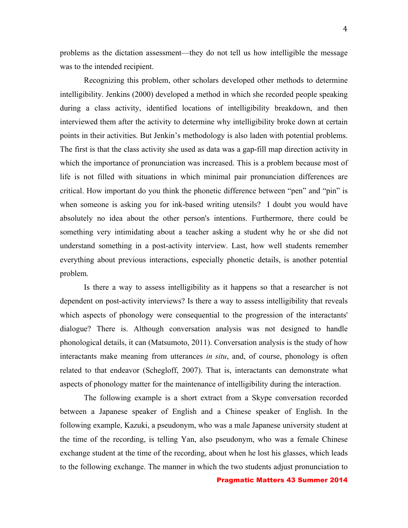problems as the dictation assessment—they do not tell us how intelligible the message was to the intended recipient.

Recognizing this problem, other scholars developed other methods to determine intelligibility. Jenkins (2000) developed a method in which she recorded people speaking during a class activity, identified locations of intelligibility breakdown, and then interviewed them after the activity to determine why intelligibility broke down at certain points in their activities. But Jenkin's methodology is also laden with potential problems. The first is that the class activity she used as data was a gap-fill map direction activity in which the importance of pronunciation was increased. This is a problem because most of life is not filled with situations in which minimal pair pronunciation differences are critical. How important do you think the phonetic difference between "pen" and "pin" is when someone is asking you for ink-based writing utensils? I doubt you would have absolutely no idea about the other person's intentions. Furthermore, there could be something very intimidating about a teacher asking a student why he or she did not understand something in a post-activity interview. Last, how well students remember everything about previous interactions, especially phonetic details, is another potential problem.

Is there a way to assess intelligibility as it happens so that a researcher is not dependent on post-activity interviews? Is there a way to assess intelligibility that reveals which aspects of phonology were consequential to the progression of the interactants' dialogue? There is. Although conversation analysis was not designed to handle phonological details, it can (Matsumoto, 2011). Conversation analysis is the study of how interactants make meaning from utterances *in situ*, and, of course, phonology is often related to that endeavor (Schegloff, 2007). That is, interactants can demonstrate what aspects of phonology matter for the maintenance of intelligibility during the interaction.

The following example is a short extract from a Skype conversation recorded between a Japanese speaker of English and a Chinese speaker of English. In the following example, Kazuki, a pseudonym, who was a male Japanese university student at the time of the recording, is telling Yan, also pseudonym, who was a female Chinese exchange student at the time of the recording, about when he lost his glasses, which leads to the following exchange. The manner in which the two students adjust pronunciation to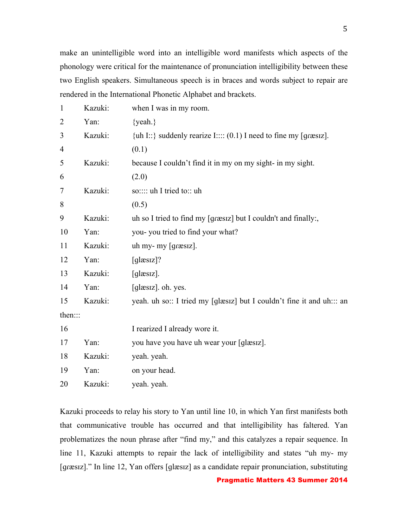make an unintelligible word into an intelligible word manifests which aspects of the phonology were critical for the maintenance of pronunciation intelligibility between these two English speakers. Simultaneous speech is in braces and words subject to repair are rendered in the International Phonetic Alphabet and brackets.

| $\mathbf{1}$   | Kazuki: | when I was in my room.                                                |
|----------------|---------|-----------------------------------------------------------------------|
| $\overline{2}$ | Yan:    | $\{$ yeah. $\}$                                                       |
| 3              | Kazuki: | {uh I::} suddenly rearize I:::: $(0.1)$ I need to fine my [græsiz].   |
| 4              |         | (0.1)                                                                 |
| 5              | Kazuki: | because I couldn't find it in my on my sight- in my sight.            |
| 6              |         | (2.0)                                                                 |
| 7              | Kazuki: | so:::: uh I tried to:: uh                                             |
| 8              |         | (0.5)                                                                 |
| 9              | Kazuki: | uh so I tried to find my [græsiz] but I couldn't and finally:,        |
| 10             | Yan:    | you- you tried to find your what?                                     |
| 11             | Kazuki: | uh my- my [græsiz].                                                   |
| 12             | Yan:    | $[glassız]$ ?                                                         |
| 13             | Kazuki: | $[glassz]$ .                                                          |
| 14             | Yan:    | [glæsiz]. oh. yes.                                                    |
| 15             | Kazuki: | yeah. uh so:: I tried my [glæsiz] but I couldn't fine it and uh::: an |
| then:::        |         |                                                                       |
| 16             |         | I rearized I already wore it.                                         |
| 17             | Yan:    | you have you have uh wear your [glæsiz].                              |
| 18             | Kazuki: | yeah. yeah.                                                           |
| 19             | Yan:    | on your head.                                                         |
| 20             | Kazuki: | yeah. yeah.                                                           |

Kazuki proceeds to relay his story to Yan until line 10, in which Yan first manifests both that communicative trouble has occurred and that intelligibility has faltered. Yan problematizes the noun phrase after "find my," and this catalyzes a repair sequence. In line 11, Kazuki attempts to repair the lack of intelligibility and states "uh my- my [ɡɾæsɪz]." In line 12, Yan offers [ɡlæsɪz] as a candidate repair pronunciation, substituting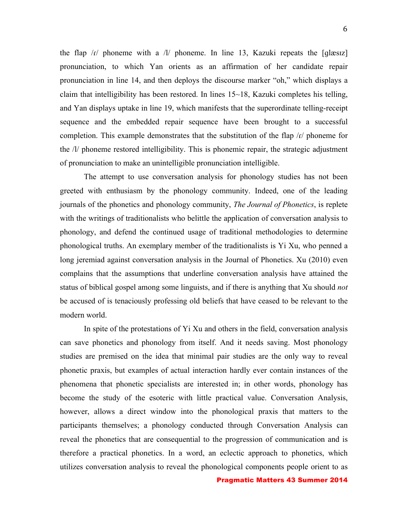the flap  $\ell r$  phoneme with a  $\ell l$  phoneme. In line 13, Kazuki repeats the [qlæsiz] pronunciation, to which Yan orients as an affirmation of her candidate repair pronunciation in line 14, and then deploys the discourse marker "oh," which displays a claim that intelligibility has been restored. In lines  $15{\sim}18$ , Kazuki completes his telling, and Yan displays uptake in line 19, which manifests that the superordinate telling-receipt sequence and the embedded repair sequence have been brought to a successful completion. This example demonstrates that the substitution of the flap /ɾ/ phoneme for the /l/ phoneme restored intelligibility. This is phonemic repair, the strategic adjustment of pronunciation to make an unintelligible pronunciation intelligible.

The attempt to use conversation analysis for phonology studies has not been greeted with enthusiasm by the phonology community. Indeed, one of the leading journals of the phonetics and phonology community, *The Journal of Phonetics*, is replete with the writings of traditionalists who belittle the application of conversation analysis to phonology, and defend the continued usage of traditional methodologies to determine phonological truths. An exemplary member of the traditionalists is Yi Xu, who penned a long jeremiad against conversation analysis in the Journal of Phonetics. Xu (2010) even complains that the assumptions that underline conversation analysis have attained the status of biblical gospel among some linguists, and if there is anything that Xu should *not* be accused of is tenaciously professing old beliefs that have ceased to be relevant to the modern world.

In spite of the protestations of Yi Xu and others in the field, conversation analysis can save phonetics and phonology from itself. And it needs saving. Most phonology studies are premised on the idea that minimal pair studies are the only way to reveal phonetic praxis, but examples of actual interaction hardly ever contain instances of the phenomena that phonetic specialists are interested in; in other words, phonology has become the study of the esoteric with little practical value. Conversation Analysis, however, allows a direct window into the phonological praxis that matters to the participants themselves; a phonology conducted through Conversation Analysis can reveal the phonetics that are consequential to the progression of communication and is therefore a practical phonetics. In a word, an eclectic approach to phonetics, which utilizes conversation analysis to reveal the phonological components people orient to as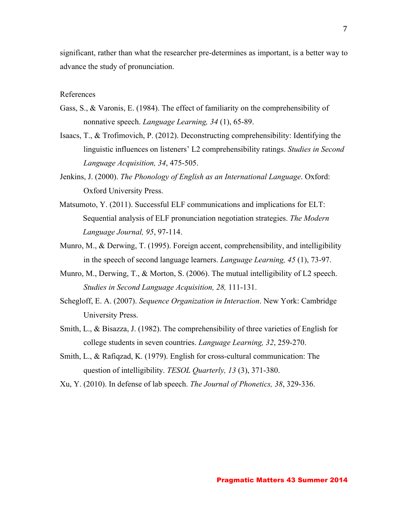significant, rather than what the researcher pre-determines as important, is a better way to advance the study of pronunciation.

#### References

- Gass, S., & Varonis, E. (1984). The effect of familiarity on the comprehensibility of nonnative speech. *Language Learning, 34* (1), 65-89.
- Isaacs, T., & Trofimovich, P. (2012). Deconstructing comprehensibility: Identifying the linguistic influences on listeners' L2 comprehensibility ratings. *Studies in Second Language Acquisition, 34*, 475-505.
- Jenkins, J. (2000). *The Phonology of English as an International Language*. Oxford: Oxford University Press.
- Matsumoto, Y. (2011). Successful ELF communications and implications for ELT: Sequential analysis of ELF pronunciation negotiation strategies. *The Modern Language Journal, 95*, 97-114.
- Munro, M., & Derwing, T. (1995). Foreign accent, comprehensibility, and intelligibility in the speech of second language learners. *Language Learning, 45* (1), 73-97.
- Munro, M., Derwing, T., & Morton, S. (2006). The mutual intelligibility of L2 speech. *Studies in Second Language Acquisition, 28,* 111-131.
- Schegloff, E. A. (2007). *Sequence Organization in Interaction*. New York: Cambridge University Press.
- Smith, L., & Bisazza, J. (1982). The comprehensibility of three varieties of English for college students in seven countries. *Language Learning, 32*, 259-270.
- Smith, L., & Rafiqzad, K. (1979). English for cross-cultural communication: The question of intelligibility. *TESOL Quarterly, 13* (3), 371-380.
- Xu, Y. (2010). In defense of lab speech. *The Journal of Phonetics, 38*, 329-336.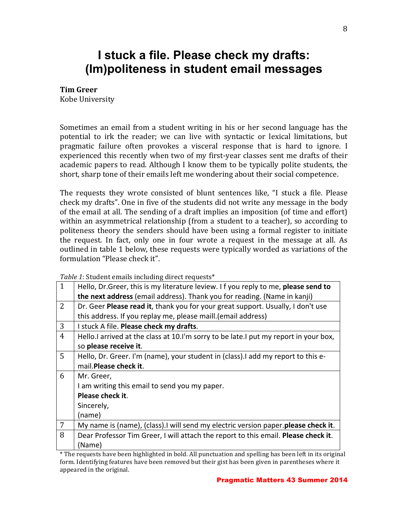### **I stuck a file. Please check my drafts: (Im)politeness in student email messages**

#### **Tim Greer**

Kobe University

Sometimes an email from a student writing in his or her second language has the potential to irk the reader; we can live with syntactic or lexical limitations, but pragmatic failure often provokes a visceral response that is hard to ignore. I experienced this recently when two of my first-year classes sent me drafts of their academic papers to read. Although I know them to be typically polite students, the short, sharp tone of their emails left me wondering about their social competence.

The requests they wrote consisted of blunt sentences like, "I stuck a file. Please check my drafts". One in five of the students did not write any message in the body of the email at all. The sending of a draft implies an imposition (of time and effort) within an asymmetrical relationship (from a student to a teacher), so according to politeness theory the senders should have been using a formal register to initiate the request. In fact, only one in four wrote a request in the message at all. As outlined in table 1 below, these requests were typically worded as variations of the formulation "Please check it".

*Table 1*: Student emails including direct requests\*

| $\mathbf{1}$   | Hello, Dr. Greer, this is my literature leview. If you reply to me, please send to   |
|----------------|--------------------------------------------------------------------------------------|
|                | the next address (email address). Thank you for reading. (Name in kanji)             |
| $\overline{2}$ | Dr. Geer Please read it, thank you for your great support. Usually, I don't use      |
|                | this address. If you replay me, please maill. (email address)                        |
| 3              | I stuck A file. Please check my drafts.                                              |
| 4              | Hello.I arrived at the class at 10.I'm sorry to be late.I put my report in your box, |
|                | so please receive it.                                                                |
| $5^{\circ}$    | Hello, Dr. Greer. I'm (name), your student in (class). I add my report to this e-    |
|                | mail. Please check it.                                                               |
| 6              | Mr. Greer,                                                                           |
|                | I am writing this email to send you my paper.                                        |
|                | Please check it.                                                                     |
|                | Sincerely,                                                                           |
|                | (name)                                                                               |
| $\overline{7}$ | My name is (name), (class). I will send my electric version paper. please check it.  |
| 8              | Dear Professor Tim Greer, I will attach the report to this email. Please check it.   |
|                | (Name)                                                                               |

\* The requests have been highlighted in bold. All punctuation and spelling has been left in its original form. Identifying features have been removed but their gist has been given in parentheses where it appeared in the original.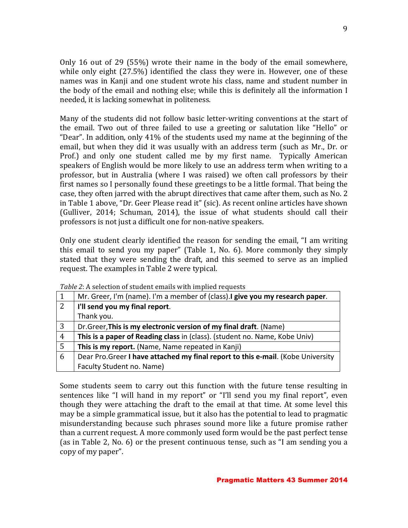Only 16 out of 29 (55%) wrote their name in the body of the email somewhere, while only eight  $(27.5%)$  identified the class they were in. However, one of these names was in Kanji and one student wrote his class, name and student number in the body of the email and nothing else; while this is definitely all the information  $I$ needed, it is lacking somewhat in politeness.

Many of the students did not follow basic letter-writing conventions at the start of the email. Two out of three failed to use a greeting or salutation like "Hello" or "Dear". In addition, only  $41\%$  of the students used my name at the beginning of the email, but when they did it was usually with an address term (such as Mr., Dr. or Prof.) and only one student called me by my first name. Typically American speakers of English would be more likely to use an address term when writing to a professor, but in Australia (where I was raised) we often call professors by their first names so I personally found these greetings to be a little formal. That being the case, they often jarred with the abrupt directives that came after them, such as No. 2 in Table 1 above, "Dr. Geer Please read it" (sic). As recent online articles have shown (Gulliver, 2014; Schuman, 2014), the issue of what students should call their professors is not just a difficult one for non-native speakers.

Only one student clearly identified the reason for sending the email, "I am writing this email to send you my paper" (Table 1, No.  $6$ ). More commonly they simply stated that they were sending the draft, and this seemed to serve as an implied request. The examples in Table 2 were typical.

| 1              | Mr. Greer, I'm (name). I'm a member of (class). I give you my research paper.    |
|----------------|----------------------------------------------------------------------------------|
| 2              | I'll send you my final report.                                                   |
|                | Thank you.                                                                       |
| 3              | Dr. Greer, This is my electronic version of my final draft. (Name)               |
| $\overline{4}$ | This is a paper of Reading class in (class). (student no. Name, Kobe Univ)       |
| 5              | This is my report. (Name, Name repeated in Kanji)                                |
| 6              | Dear Pro. Greer I have attached my final report to this e-mail. (Kobe University |
|                | Faculty Student no. Name)                                                        |

*Table 2*: A selection of student emails with implied requests

Some students seem to carry out this function with the future tense resulting in sentences like "I will hand in my report" or "I'll send you my final report", even though they were attaching the draft to the email at that time. At some level this may be a simple grammatical issue, but it also has the potential to lead to pragmatic misunderstanding because such phrases sound more like a future promise rather than a current request. A more commonly used form would be the past perfect tense (as in Table 2, No. 6) or the present continuous tense, such as "I am sending you a copy of my paper".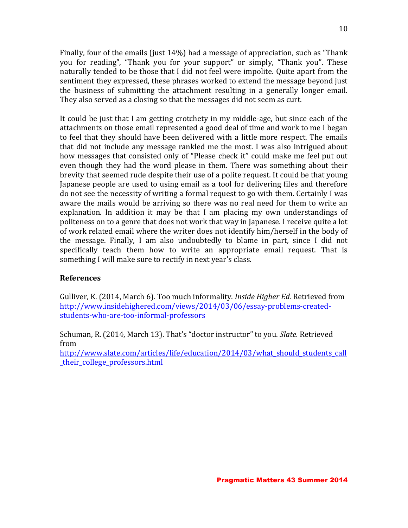Finally, four of the emails (just  $14\%$ ) had a message of appreciation, such as "Thank you for reading", "Thank you for your support" or simply, "Thank you". These naturally tended to be those that I did not feel were impolite. Ouite apart from the sentiment they expressed, these phrases worked to extend the message beyond just the business of submitting the attachment resulting in a generally longer email. They also served as a closing so that the messages did not seem as curt.

It could be just that I am getting crotchety in my middle-age, but since each of the attachments on those email represented a good deal of time and work to me I began to feel that they should have been delivered with a little more respect. The emails that did not include any message rankled me the most. I was also intrigued about how messages that consisted only of "Please check it" could make me feel put out even though they had the word please in them. There was something about their brevity that seemed rude despite their use of a polite request. It could be that young Japanese people are used to using email as a tool for delivering files and therefore do not see the necessity of writing a formal request to go with them. Certainly I was aware the mails would be arriving so there was no real need for them to write an explanation. In addition it may be that I am placing my own understandings of politeness on to a genre that does not work that way in Japanese. I receive quite a lot of work related email where the writer does not identify him/herself in the body of the message. Finally, I am also undoubtedly to blame in part, since I did not specifically teach them how to write an appropriate email request. That is something I will make sure to rectify in next year's class.

#### **References**

Gulliver, K. (2014, March 6). Too much informality. *Inside Higher Ed*. Retrieved from http://www.insidehighered.com/views/2014/03/06/essay-problems-createdstudents-who-are-too-informal-professors

Schuman, R. (2014, March 13). That's "doctor instructor" to you. *Slate.* Retrieved from http://www.slate.com/articles/life/education/2014/03/what\_should\_students\_call

\_their\_college\_professors.html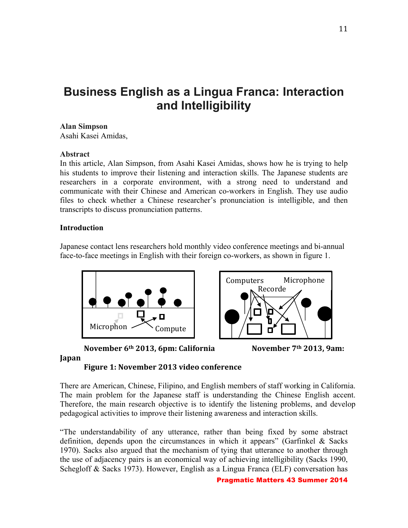## **Business English as a Lingua Franca: Interaction and Intelligibility**

#### **Alan Simpson**

Asahi Kasei Amidas,

#### **Abstract**

In this article, Alan Simpson, from Asahi Kasei Amidas, shows how he is trying to help his students to improve their listening and interaction skills. The Japanese students are researchers in a corporate environment, with a strong need to understand and communicate with their Chinese and American co-workers in English. They use audio files to check whether a Chinese researcher's pronunciation is intelligible, and then transcripts to discuss pronunciation patterns.

#### **Introduction**

Japanese contact lens researchers hold monthly video conference meetings and bi-annual face-to-face meetings in English with their foreign co-workers, as shown in figure 1.





**November 6<sup>th</sup> 2013, 6pm: California November 7<sup>th</sup> 2013, 9am:** 



#### **Japan**

**Figure 1: November 2013 video conference** 

There are American, Chinese, Filipino, and English members of staff working in California. The main problem for the Japanese staff is understanding the Chinese English accent. Therefore, the main research objective is to identify the listening problems, and develop pedagogical activities to improve their listening awareness and interaction skills.

"The understandability of any utterance, rather than being fixed by some abstract definition, depends upon the circumstances in which it appears" (Garfinkel  $\&$  Sacks 1970). Sacks also argued that the mechanism of tying that utterance to another through the use of adjacency pairs is an economical way of achieving intelligibility (Sacks 1990, Schegloff & Sacks 1973). However, English as a Lingua Franca (ELF) conversation has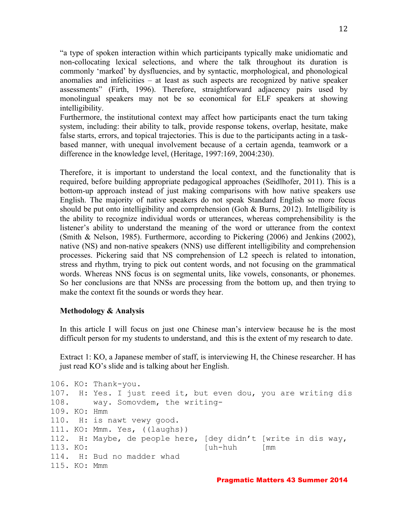"a type of spoken interaction within which participants typically make unidiomatic and non-collocating lexical selections, and where the talk throughout its duration is commonly 'marked' by dysfluencies, and by syntactic, morphological, and phonological anomalies and infelicities – at least as such aspects are recognized by native speaker assessments" (Firth, 1996). Therefore, straightforward adjacency pairs used by monolingual speakers may not be so economical for ELF speakers at showing intelligibility.

Furthermore, the institutional context may affect how participants enact the turn taking system, including: their ability to talk, provide response tokens, overlap, hesitate, make false starts, errors, and topical trajectories. This is due to the participants acting in a taskbased manner, with unequal involvement because of a certain agenda, teamwork or a difference in the knowledge level, (Heritage, 1997:169, 2004:230).

Therefore, it is important to understand the local context, and the functionality that is required, before building appropriate pedagogical approaches (Seidlhofer, 2011). This is a bottom-up approach instead of just making comparisons with how native speakers use English. The majority of native speakers do not speak Standard English so more focus should be put onto intelligibility and comprehension (Goh  $& Burns, 2012$ ). Intelligibility is the ability to recognize individual words or utterances, whereas comprehensibility is the listener's ability to understand the meaning of the word or utterance from the context (Smith & Nelson, 1985). Furthermore, according to Pickering (2006) and Jenkins (2002), native (NS) and non-native speakers (NNS) use different intelligibility and comprehension processes. Pickering said that NS comprehension of L2 speech is related to intonation, stress and rhythm, trying to pick out content words, and not focusing on the grammatical words. Whereas NNS focus is on segmental units, like vowels, consonants, or phonemes. So her conclusions are that NNSs are processing from the bottom up, and then trying to make the context fit the sounds or words they hear.

#### **Methodology & Analysis**

In this article I will focus on just one Chinese man's interview because he is the most difficult person for my students to understand, and this is the extent of my research to date.

Extract 1: KO, a Japanese member of staff, is interviewing H, the Chinese researcher. H has just read KO's slide and is talking about her English.

```
106. KO: Thank-you.
107. H: Yes. I just reed it, but even dou, you are writing dis 
108. way. Somovdem, the writing-
109. KO: Hmm
110. H: is nawt vewy good.
111. KO: Mmm. Yes, ((laughs))
112. H: Maybe, de people here, [dey didn't [write in dis way,
113. KO: [uh-huh [mm 
114. H: Bud no madder whad
115. KO: Mmm
```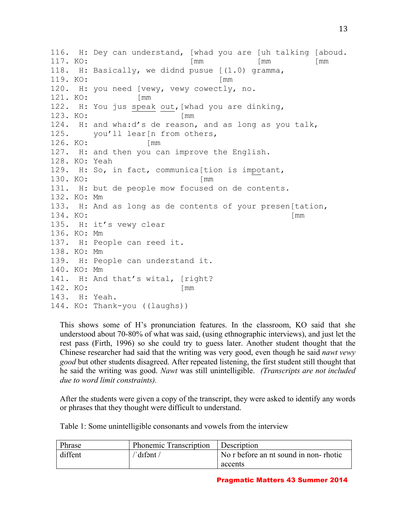116. H: Dey can understand, [whad you are [uh talking [aboud. 117. KO: [mm [mm [mm ] 118. H: Basically, we didnd pusue [(1.0) gramma, 119. KO: [mm 120. H: you need [vewy, vewy cowectly, no. 121. KO: [mm 122. H: You jus speak out,[whad you are dinking, 123. KO: [mm 124. H: and wha:d's de reason, and as long as you talk, 125. you'll lear[n from others, 126. KO: [mm 127. H: and then you can improve the English. 128. KO: Yeah 129. H: So, in fact, communica[tion is impotant, 130. KO: [mm 131. H: but de people mow focused on de contents. 132. KO: Mm 133. H: And as long as de contents of your presen[tation, 134. KO: [mm 135. H: it's vewy clear 136. KO: Mm 137. H: People can reed it. 138. KO: Mm 139. H: People can understand it. 140. KO: Mm 141. H: And that's wital, [right? 142. KO: [mm 143. H: Yeah. 144. KO: Thank-you ((laughs))

This shows some of H's pronunciation features. In the classroom, KO said that she understood about 70-80% of what was said, (using ethnographic interviews), and just let the rest pass (Firth, 1996) so she could try to guess later. Another student thought that the Chinese researcher had said that the writing was very good, even though he said *nawt vewy good* but other students disagreed. After repeated listening, the first student still thought that he said the writing was good. *Nawt* was still unintelligible. *(Transcripts are not included due to word limit constraints).*

After the students were given a copy of the transcript, they were asked to identify any words or phrases that they thought were difficult to understand.

Table 1: Some unintelligible consonants and vowels from the interview

| Phrase  | Phonemic Transcription            | <b>Description</b>                    |
|---------|-----------------------------------|---------------------------------------|
| diffent | $^{\prime\prime}$ dıfənt $\prime$ | No r before an nt sound in non-rhotic |
|         |                                   | accents                               |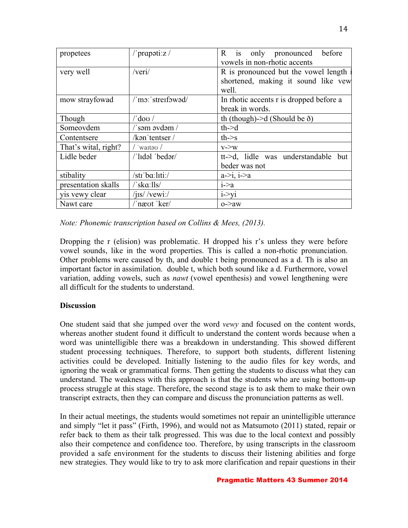| propetees            | /'prapoti: $z/$                | R is only pronounced<br>before<br>vowels in non-rhotic accents                       |  |  |  |  |
|----------------------|--------------------------------|--------------------------------------------------------------------------------------|--|--|--|--|
| very well            | /veri/                         | R is pronounced but the vowel length<br>shortened, making it sound like vew<br>well. |  |  |  |  |
| mow strayfowad       | /'mo:'streifowad/              | In rhotic accents r is dropped before a<br>break in words.                           |  |  |  |  |
| Though               | $/$ 'dov $/$                   | th (though)->d (Should be $\delta$ )                                                 |  |  |  |  |
| Someovdem            | /'səm əvdəm /                  | $th$ ->d                                                                             |  |  |  |  |
| Contentsere          | $/ken$ 'tentser /              | $th$ - $\geq$ s                                                                      |  |  |  |  |
| That's wital, right? | $/$ waito $/$                  | $v\rightarrow W$                                                                     |  |  |  |  |
| Lidle beder          | /'lɪdəl 'bedər/                | tt->d, lidle was understandable but<br>beder was not                                 |  |  |  |  |
| stibality            | /str ba:liti:/                 | $a \rightarrow i, i \rightarrow a$                                                   |  |  |  |  |
| presentation skalls  | $\sqrt{\,$ ska: $\frac{1}{s}}$ | i > a                                                                                |  |  |  |  |
| yis vewy clear       | $/$ jis/ $/$ vewi: $/$         | $i \rightarrow yi$                                                                   |  |  |  |  |
| Nawt care            | /'næot 'ker/                   | $o$ - $>$ aw                                                                         |  |  |  |  |

*Note: Phonemic transcription based on Collins & Mees, (2013).*

Dropping the r (elision) was problematic. H dropped his r's unless they were before vowel sounds, like in the word properties. This is called a non-rhotic pronunciation. Other problems were caused by th, and double t being pronounced as a d. Th is also an important factor in assimilation. double t, which both sound like a d. Furthermore, vowel variation, adding vowels, such as *nawt* (vowel epenthesis) and vowel lengthening were all difficult for the students to understand.

#### **Discussion**

One student said that she jumped over the word *vewy* and focused on the content words, whereas another student found it difficult to understand the content words because when a word was unintelligible there was a breakdown in understanding. This showed different student processing techniques. Therefore, to support both students, different listening activities could be developed. Initially listening to the audio files for key words, and ignoring the weak or grammatical forms. Then getting the students to discuss what they can understand. The weakness with this approach is that the students who are using bottom-up process struggle at this stage. Therefore, the second stage is to ask them to make their own transcript extracts, then they can compare and discuss the pronunciation patterns as well.

In their actual meetings, the students would sometimes not repair an unintelligible utterance and simply "let it pass" (Firth, 1996), and would not as Matsumoto (2011) stated, repair or refer back to them as their talk progressed. This was due to the local context and possibly also their competence and confidence too. Therefore, by using transcripts in the classroom provided a safe environment for the students to discuss their listening abilities and forge new strategies. They would like to try to ask more clarification and repair questions in their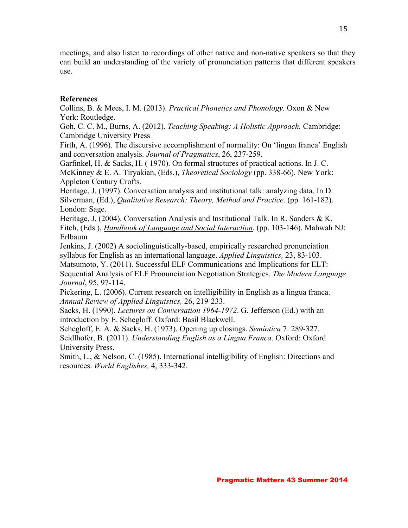meetings, and also listen to recordings of other native and non-native speakers so that they can build an understanding of the variety of pronunciation patterns that different speakers use.

#### **References**

Collins, B. & Mees, I. M. (2013). *Practical Phonetics and Phonology.* Oxon & New York: Routledge.

Goh, C. C. M., Burns, A. (2012). *Teaching Speaking: A Holistic Approach.* Cambridge: Cambridge University Press

Firth, A. (1996). The discursive accomplishment of normality: On 'lingua franca' English and conversation analysis. *Journal of Pragmatics*, 26, 237-259.

Garfinkel, H. & Sacks, H. ( 1970). On formal structures of practical actions. In J. C. McKinney & E. A. Tiryakian, (Eds.), *Theoretical Sociology* (pp. 338-66). New York: Appleton Century Crofts.

Heritage, J. (1997). Conversation analysis and institutional talk: analyzing data. In D. Silverman, (Ed.), *Qualitative Research: Theory, Method and Practice*. (pp. 161-182). London: Sage.

Heritage, J. (2004). Conversation Analysis and Institutional Talk. In R. Sanders & K. Fitch, (Eds.), *Handbook of Language and Social Interaction*. (pp. 103-146). Mahwah NJ: Erlbaum

Jenkins, J. (2002) A sociolinguistically-based, empirically researched pronunciation syllabus for English as an international language. *Applied Linguistics,* 23, 83-103.

Matsumoto, Y. (2011). Successful ELF Communications and Implications for ELT:

Sequential Analysis of ELF Pronunciation Negotiation Strategies. *The Modern Language Journal*, 95, 97-114.

Pickering, L. (2006). Current research on intelligibility in English as a lingua franca. *Annual Review of Applied Linguistics,* 26, 219-233.

Sacks, H. (1990). *Lectures on Conversation 1964-1972*. G. Jefferson (Ed.) with an introduction by E. Schegloff. Oxford: Basil Blackwell.

Schegloff, E. A. & Sacks, H. (1973). Opening up closings. *Semiotica* 7: 289-327. Seidlhofer, B. (2011). *Understanding English as a Lingua Franca*. Oxford: Oxford University Press.

Smith, L., & Nelson, C. (1985). International intelligibility of English: Directions and resources. *World Englishes,* 4, 333-342.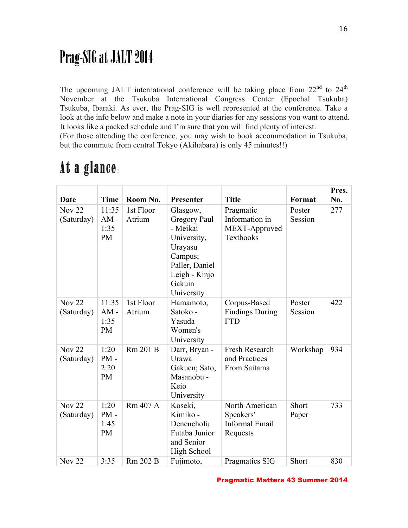## Prag-SIG at JALT 2014

The upcoming JALT international conference will be taking place from  $22<sup>nd</sup>$  to  $24<sup>th</sup>$ November at the Tsukuba International Congress Center (Epochal Tsukuba) Tsukuba, Ibaraki. As ever, the Prag-SIG is well represented at the conference. Take a look at the info below and make a note in your diaries for any sessions you want to attend. It looks like a packed schedule and I'm sure that you will find plenty of interest. (For those attending the conference, you may wish to book accommodation in Tsukuba, but the commute from central Tokyo (Akihabara) is only 45 minutes!!)

|                             |                                      |                     |                                                                                                                                      |                                                           |                   | Pres. |
|-----------------------------|--------------------------------------|---------------------|--------------------------------------------------------------------------------------------------------------------------------------|-----------------------------------------------------------|-------------------|-------|
| <b>Date</b>                 | <b>Time</b>                          | Room No.            | Presenter                                                                                                                            | <b>Title</b>                                              | Format            | No.   |
| <b>Nov 22</b><br>(Saturday) | 11:35<br>$AM -$<br>1:35<br><b>PM</b> | 1st Floor<br>Atrium | Glasgow,<br>Gregory Paul<br>- Meikai<br>University,<br>Urayasu<br>Campus;<br>Paller, Daniel<br>Leigh - Kinjo<br>Gakuin<br>University | Pragmatic<br>Information in<br>MEXT-Approved<br>Textbooks | Poster<br>Session | 277   |
| <b>Nov 22</b><br>(Saturday) | 11:35<br>$AM -$<br>1:35<br><b>PM</b> | 1st Floor<br>Atrium | Hamamoto,<br>Satoko -<br>Yasuda<br>Women's<br>University                                                                             | Corpus-Based<br><b>Findings During</b><br><b>FTD</b>      | Poster<br>Session | 422   |
| <b>Nov 22</b><br>(Saturday) | 1:20<br>$PM -$<br>2:20<br><b>PM</b>  | Rm 201 B            | Darr, Bryan -<br>Urawa<br>Gakuen; Sato,<br>Masanobu -<br>Keio<br>University                                                          | Fresh Research<br>and Practices<br>From Saitama           | Workshop          | 934   |
| <b>Nov 22</b><br>(Saturday) | 1:20<br>$PM -$<br>1:45<br><b>PM</b>  | Rm 407 A            | Koseki,<br>Kimiko -<br>Denenchofu<br>Futaba Junior<br>and Senior<br><b>High School</b>                                               | North American<br>Speakers'<br>Informal Email<br>Requests | Short<br>Paper    | 733   |
| <b>Nov 22</b>               | 3:35                                 | Rm 202 B            | Fujimoto,                                                                                                                            | Pragmatics SIG                                            | Short             | 830   |

## At a glance: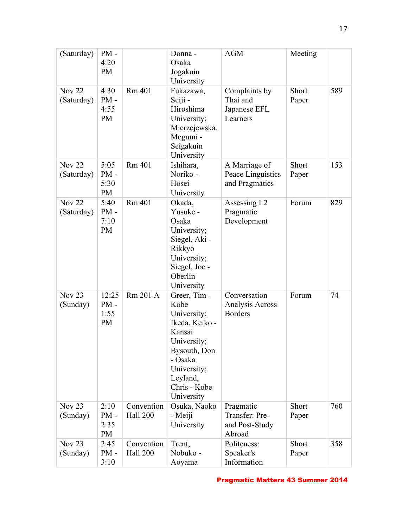| (Saturday)                    | $PM -$<br>4:20<br><b>PM</b>          |                        | Donna -<br>Osaka<br>Jogakuin<br>University                                                                                                                         | <b>AGM</b>                                              | Meeting        |     |
|-------------------------------|--------------------------------------|------------------------|--------------------------------------------------------------------------------------------------------------------------------------------------------------------|---------------------------------------------------------|----------------|-----|
| <b>Nov 22</b><br>(Saturday)   | 4:30<br>$PM -$<br>4:55<br><b>PM</b>  | Rm 401                 | Fukazawa,<br>Seiji -<br>Hiroshima<br>University;<br>Mierzejewska,<br>Megumi -<br>Seigakuin<br>University                                                           | Complaints by<br>Thai and<br>Japanese EFL<br>Learners   | Short<br>Paper | 589 |
| <b>Nov 22</b><br>(Saturday)   | 5:05<br>$PM -$<br>5:30<br><b>PM</b>  | Rm 401                 | Ishihara,<br>Noriko -<br>Hosei<br>University                                                                                                                       | A Marriage of<br>Peace Linguistics<br>and Pragmatics    | Short<br>Paper | 153 |
| <b>Nov 22</b><br>(Saturday)   | 5:40<br>$PM -$<br>7:10<br><b>PM</b>  | Rm 401                 | Okada,<br>Yusuke -<br>Osaka<br>University;<br>Siegel, Aki -<br>Rikkyo<br>University;<br>Siegel, Joe -<br>Oberlin<br>University                                     | Assessing L <sub>2</sub><br>Pragmatic<br>Development    | Forum          | 829 |
| Nov $23$<br>(Sunday)          | 12:25<br>$PM -$<br>1:55<br><b>PM</b> | Rm 201 A               | Greer, Tim -<br>Kobe<br>University;<br>Ikeda, Keiko -<br>Kansai<br>University;<br>Bysouth, Don<br>- Osaka<br>University;<br>Leyland,<br>Chris - Kobe<br>University | Conversation<br>Analysis Across<br><b>Borders</b>       | Forum          | 74  |
| Nov <sub>23</sub><br>(Sunday) | 2:10<br>$PM -$<br>2:35<br><b>PM</b>  | Convention<br>Hall 200 | Osuka, Naoko<br>- Meiji<br>University                                                                                                                              | Pragmatic<br>Transfer: Pre-<br>and Post-Study<br>Abroad | Short<br>Paper | 760 |
| Nov <sub>23</sub><br>(Sunday) | 2:45<br>$PM -$<br>3:10               | Convention<br>Hall 200 | Trent,<br>Nobuko -<br>Aoyama                                                                                                                                       | Politeness:<br>Speaker's<br>Information                 | Short<br>Paper | 358 |